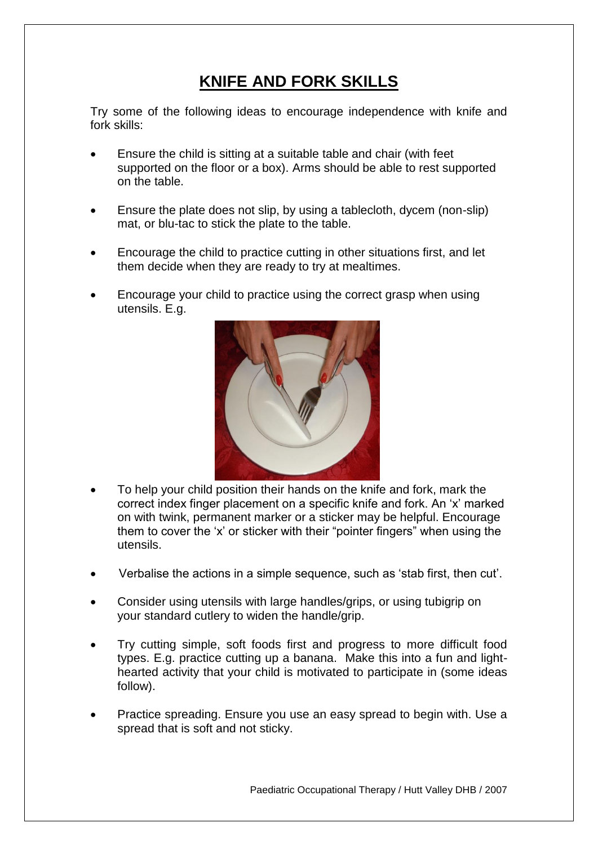## **KNIFE AND FORK SKILLS**

Try some of the following ideas to encourage independence with knife and fork skills:

- Ensure the child is sitting at a suitable table and chair (with feet supported on the floor or a box). Arms should be able to rest supported on the table.
- Ensure the plate does not slip, by using a tablecloth, dycem (non-slip) mat, or blu-tac to stick the plate to the table.
- Encourage the child to practice cutting in other situations first, and let them decide when they are ready to try at mealtimes.
- Encourage your child to practice using the correct grasp when using utensils. E.g.



- To help your child position their hands on the knife and fork, mark the correct index finger placement on a specific knife and fork. An 'x' marked on with twink, permanent marker or a sticker may be helpful. Encourage them to cover the 'x' or sticker with their "pointer fingers" when using the utensils.
- Verbalise the actions in a simple sequence, such as 'stab first, then cut'.
- Consider using utensils with large handles/grips, or using tubigrip on your standard cutlery to widen the handle/grip.
- Try cutting simple, soft foods first and progress to more difficult food types. E.g. practice cutting up a banana. Make this into a fun and lighthearted activity that your child is motivated to participate in (some ideas follow).
- Practice spreading. Ensure you use an easy spread to begin with. Use a spread that is soft and not sticky.